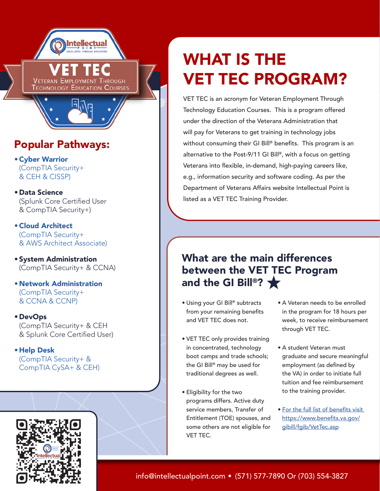

**VETERAN EMPLOYMENT THROUGH TECHNOLOGY EDUCATION COURSES** 

## Popular Pathways:

- •Cyber Warrior (CompTIA Security+ & CEH & CISSP)
- Data Science (Splunk Core Certified User & CompTIA Security+)

•Cloud Architect (CompTIA Security+ & AWS Architect Associate)

- System Administration (CompTIA Security+ & CCNA)
- Network Administration (CompTIA Security+ & CCNA & CCNP)
- DevOps (CompTIA Security+ & CEH & Splunk Core Certified User)

• Help Desk (CompTIA Security+ & CompTIA CySA+ & CEH)



# WHAT IS THE VET TEC PROGRAM?

VET TEC is an acronym for Veteran Employment Through Technology Education Courses. This is a program offered under the direction of the Veterans Administration that will pay for Veterans to get training in technology jobs without consuming their GI Bill® benefits. This program is an alternative to the Post-9/11 GI Bill®, with a focus on getting Veterans into flexible, in-demand, high-paying careers like, e.g., information security and software coding. As per the Department of Veterans Affairs website Intellectual Point is listed as a VET TEC Training Provider.

#### What are the main differences between the VET TEC Program and the GI Bill®?  $\bigstar$

- Using your GI Bill® subtracts from your remaining benefits and VET TEC does not.
- VET TEC only provides training in concentrated, technology boot camps and trade schools; the GI Bill® may be used for traditional degrees as well.
- Eligibility for the two programs differs. Active duty service members, Transfer of Entitlement (TOE) spouses, and some others are not eligible for VET TEC.
- A Veteran needs to be enrolled in the program for 18 hours per week, to receive reimbursement through VET TEC.
- A student Veteran must graduate and secure meaningful employment (as defined by the VA) in order to initiate full tuition and fee reimbursement to the training provider.
- [For the full list of benefits](https://www.benefits.va.gov/gibill/fgib/VetTec.asp) visit https://www.benefits.va.gov/ gibill/fgib/VetTec.asp